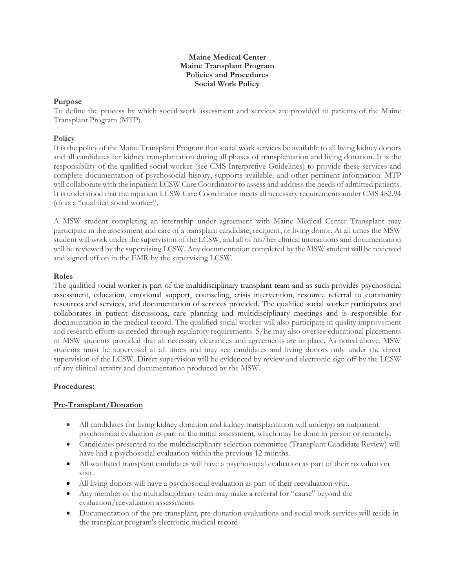#### **Maine Medical Center Maine Transplant Program Policies and Procedures Social Work Policy**

# **Purpose**

To define the process by which social work assessment and services are provided to patients of the Maine Transplant Program (MTP).

# **Policy**

It is the policy of the Maine Transplant Program that social work services be available to all living kidney donors and all candidates for kidney transplantation during all phases of transplantation and living donation. It is the responsibility of the qualified social worker (see CMS Interpretive Guidelines) to provide these services and complete documentation of psychosocial history, supports available, and other pertinent information. MTP will collaborate with the inpatient LCSW Care Coordinator to assess and address the needs of admitted patients. It is understood that the inpatient LCSW Care Coordinator meets all necessary requirements under CMS 482.94 (d) as a "qualified social worker".

A MSW student completing an internship under agreement with Maine Medical Center Transplant may participate in the assessment and care of a transplant candidate, recipient, or living donor. At all times the MSW student will work under the supervision of the LCSW, and all of his/her clinical interactions and documentation will be reviewed by the supervising LCSW. Any documentation completed by the MSW student will be reviewed and signed off on in the EMR by the supervising LCSW.

# **Roles**

The qualified social worker is part of the multidisciplinary transplant team and as such provides psychosocial assessment, education, emotional support, counseling, crisis intervention, resource referral to community resources and services, and documentation of services provided. The qualified social worker participates and collaborates in patient discussions, care planning and multidisciplinary meetings and is responsible for documentation in the medical record. The qualified social worker will also participate in quality improvement and research efforts as needed through regulatory requirements. S/he may also oversee educational placements of MSW students provided that all necessary clearances and agreements are in place. As noted above, MSW students must be supervised at all times and may see candidates and living donors only under the direct supervision of the LCSW. Direct supervision will be evidenced by review and electronic sign off by the LCSW of any clinical activity and documentation produced by the MSW.

### **Procedures:**

### **Pre-Transplant/Donation**

- All candidates for living kidney donation and kidney transplantation will undergo an outpatient psychosocial evaluation as part of the initial assessment, which may be done in person or remotely.
- Candidates presented to the multidisciplinary selection committee (Transplant Candidate Review) will have had a psychosocial evaluation within the previous 12 months.
- All waitlisted transplant candidates will have a psychosocial evaluation as part of their reevaluation visit.
- All living donors will have a psychosocial evaluation as part of their reevaluation visit.
- Any member of the multidisciplinary team may make a referral for "cause" beyond the evaluation/reevaluation assessments
- Documentation of the pre-transplant, pre-donation evaluations and social work services will reside in the transplant program's electronic medical record